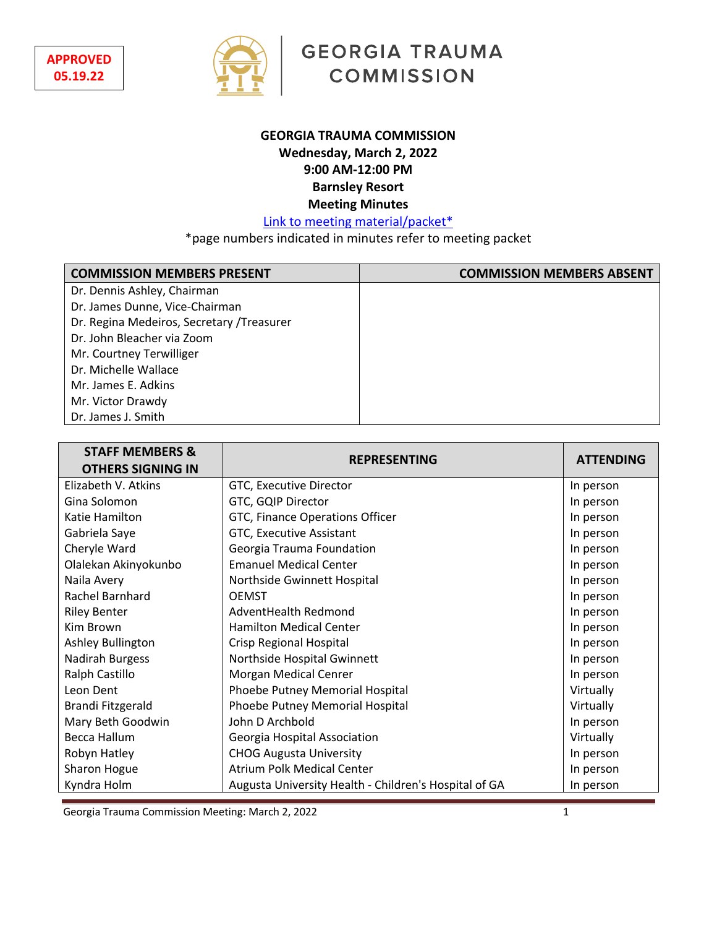

# **GEORGIA TRAUMA COMMISSION**

# **GEORGIA TRAUMA COMMISSION Wednesday, March 2, 2022 9:00 AM-12:00 PM Barnsley Resort Meeting Minutes**

Link to meeting material/packet\*

\*page numbers indicated in minutes refer to meeting packet

| <b>COMMISSION MEMBERS PRESENT</b>          | <b>COMMISSION MEMBERS ABSENT</b> |
|--------------------------------------------|----------------------------------|
| Dr. Dennis Ashley, Chairman                |                                  |
| Dr. James Dunne, Vice-Chairman             |                                  |
| Dr. Regina Medeiros, Secretary / Treasurer |                                  |
| Dr. John Bleacher via Zoom                 |                                  |
| Mr. Courtney Terwilliger                   |                                  |
| Dr. Michelle Wallace                       |                                  |
| Mr. James E. Adkins                        |                                  |
| Mr. Victor Drawdy                          |                                  |
| Dr. James J. Smith                         |                                  |

| <b>STAFF MEMBERS &amp;</b><br><b>OTHERS SIGNING IN</b> | <b>REPRESENTING</b>                                   | <b>ATTENDING</b> |
|--------------------------------------------------------|-------------------------------------------------------|------------------|
| Elizabeth V. Atkins                                    | GTC, Executive Director                               | In person        |
| Gina Solomon                                           | GTC, GQIP Director                                    | In person        |
| Katie Hamilton                                         | GTC, Finance Operations Officer                       | In person        |
| Gabriela Saye                                          | GTC, Executive Assistant                              | In person        |
| Cheryle Ward                                           | Georgia Trauma Foundation                             | In person        |
| Olalekan Akinyokunbo                                   | <b>Emanuel Medical Center</b>                         | In person        |
| Naila Avery                                            | Northside Gwinnett Hospital                           | In person        |
| <b>Rachel Barnhard</b>                                 | <b>OEMST</b>                                          | In person        |
| <b>Riley Benter</b>                                    | AdventHealth Redmond                                  | In person        |
| Kim Brown                                              | <b>Hamilton Medical Center</b>                        | In person        |
| Ashley Bullington                                      | Crisp Regional Hospital                               | In person        |
| <b>Nadirah Burgess</b>                                 | Northside Hospital Gwinnett                           | In person        |
| Ralph Castillo                                         | Morgan Medical Cenrer                                 | In person        |
| Leon Dent                                              | Phoebe Putney Memorial Hospital                       | Virtually        |
| Brandi Fitzgerald                                      | Phoebe Putney Memorial Hospital                       | Virtually        |
| Mary Beth Goodwin                                      | John D Archbold                                       | In person        |
| Becca Hallum                                           | Georgia Hospital Association                          | Virtually        |
| Robyn Hatley                                           | <b>CHOG Augusta University</b>                        | In person        |
| Sharon Hogue                                           | Atrium Polk Medical Center                            | In person        |
| Kyndra Holm                                            | Augusta University Health - Children's Hospital of GA | In person        |

Georgia Trauma Commission Meeting: March 2, 2022 1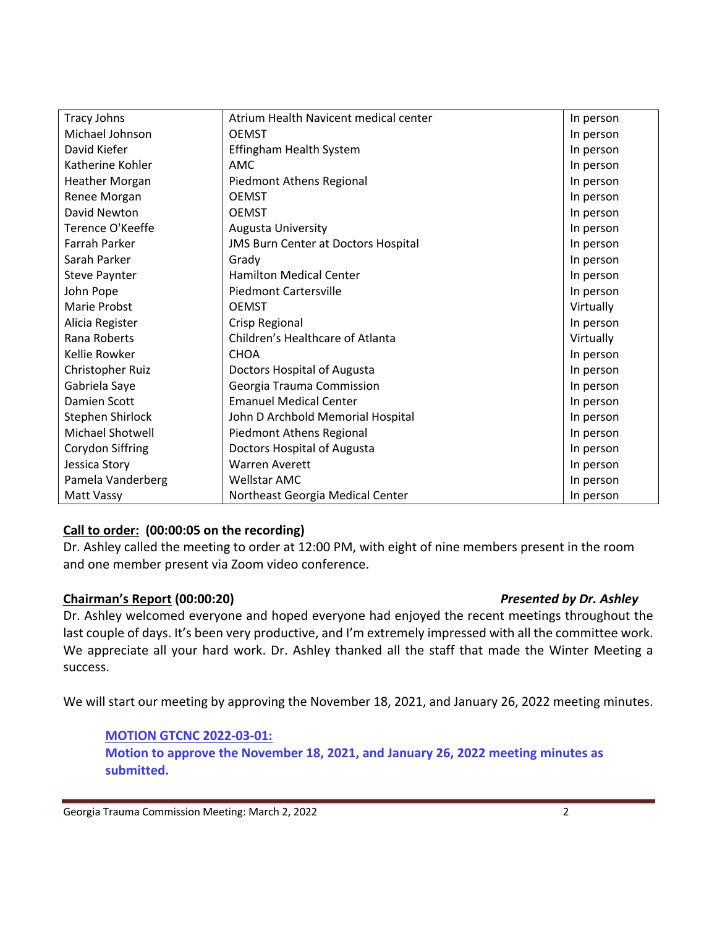| <b>Tracy Johns</b>      | Atrium Health Navicent medical center      | In person |
|-------------------------|--------------------------------------------|-----------|
| Michael Johnson         | <b>OEMST</b>                               | In person |
| David Kiefer            | Effingham Health System                    | In person |
| Katherine Kohler        | AMC                                        | In person |
| <b>Heather Morgan</b>   | Piedmont Athens Regional                   | In person |
| Renee Morgan            | <b>OEMST</b>                               | In person |
| David Newton            | <b>OEMST</b>                               | In person |
| Terence O'Keeffe        | <b>Augusta University</b>                  | In person |
| Farrah Parker           | <b>JMS Burn Center at Doctors Hospital</b> | In person |
| Sarah Parker            | Grady                                      | In person |
| <b>Steve Paynter</b>    | <b>Hamilton Medical Center</b>             | In person |
| John Pope               | <b>Piedmont Cartersville</b>               | In person |
| Marie Probst            | <b>OEMST</b>                               | Virtually |
| Alicia Register         | Crisp Regional                             | In person |
| Rana Roberts            | Children's Healthcare of Atlanta           | Virtually |
| Kellie Rowker           | <b>CHOA</b>                                | In person |
| Christopher Ruiz        | Doctors Hospital of Augusta                | In person |
| Gabriela Saye           | Georgia Trauma Commission                  | In person |
| Damien Scott            | <b>Emanuel Medical Center</b>              | In person |
| Stephen Shirlock        | John D Archbold Memorial Hospital          | In person |
| <b>Michael Shotwell</b> | Piedmont Athens Regional                   | In person |
| Corydon Siffring        | Doctors Hospital of Augusta                | In person |
| Jessica Story           | <b>Warren Averett</b>                      | In person |
| Pamela Vanderberg       | <b>Wellstar AMC</b>                        | In person |
| Matt Vassy              | Northeast Georgia Medical Center           | In person |

### **Call to order: (00:00:05 on the recording)**

Dr. Ashley called the meeting to order at 12:00 PM, with eight of nine members present in the room and one member present via Zoom video conference.

### **Chairman's Report (00:00:20)** *Presented by Dr. Ashley*

Dr. Ashley welcomed everyone and hoped everyone had enjoyed the recent meetings throughout the last couple of days. It's been very productive, and I'm extremely impressed with all the committee work. We appreciate all your hard work. Dr. Ashley thanked all the staff that made the Winter Meeting a success.

We will start our meeting by approving the November 18, 2021, and January 26, 2022 meeting minutes.

### **MOTION GTCNC 2022-03-01: Motion to approve the November 18, 2021, and January 26, 2022 meeting minutes as submitted.**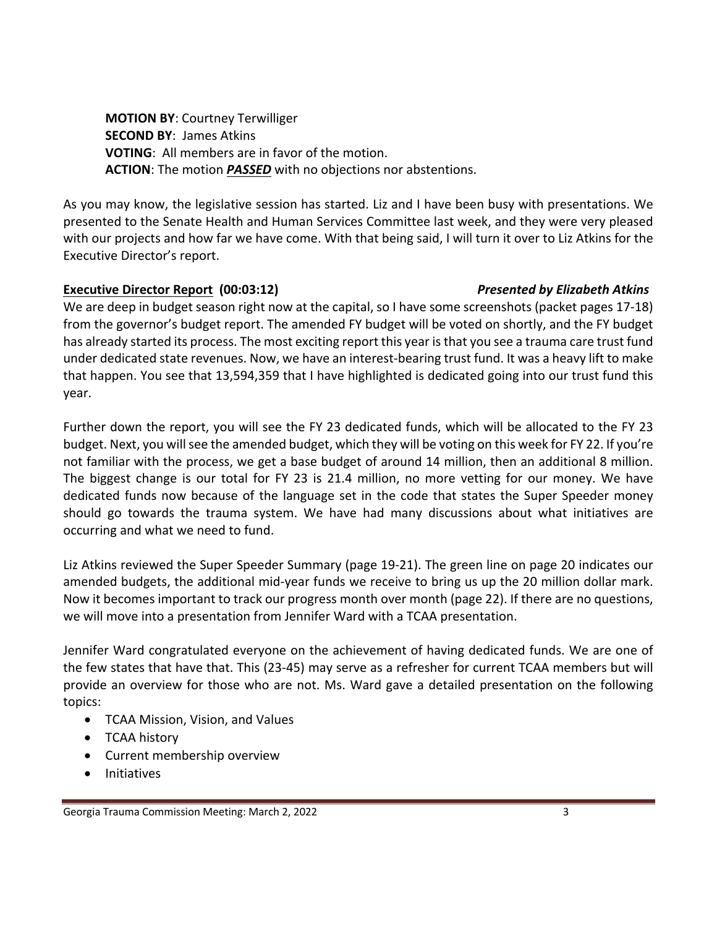**MOTION BY**: Courtney Terwilliger **SECOND BY**: James Atkins **VOTING**: All members are in favor of the motion. **ACTION**: The motion *PASSED* with no objections nor abstentions.

As you may know, the legislative session has started. Liz and I have been busy with presentations. We presented to the Senate Health and Human Services Committee last week, and they were very pleased with our projects and how far we have come. With that being said, I will turn it over to Liz Atkins for the Executive Director's report.

# **Executive Director Report (00:03:12)** *Presented by Elizabeth Atkins*

We are deep in budget season right now at the capital, so I have some screenshots (packet pages 17-18) from the governor's budget report. The amended FY budget will be voted on shortly, and the FY budget has already started its process. The most exciting report this year is that you see a trauma care trust fund under dedicated state revenues. Now, we have an interest-bearing trust fund. It was a heavy lift to make that happen. You see that 13,594,359 that I have highlighted is dedicated going into our trust fund this year.

Further down the report, you will see the FY 23 dedicated funds, which will be allocated to the FY 23 budget. Next, you will see the amended budget, which they will be voting on this week for FY 22. If you're not familiar with the process, we get a base budget of around 14 million, then an additional 8 million. The biggest change is our total for FY 23 is 21.4 million, no more vetting for our money. We have dedicated funds now because of the language set in the code that states the Super Speeder money should go towards the trauma system. We have had many discussions about what initiatives are occurring and what we need to fund.

Liz Atkins reviewed the Super Speeder Summary (page 19-21). The green line on page 20 indicates our amended budgets, the additional mid-year funds we receive to bring us up the 20 million dollar mark. Now it becomes important to track our progress month over month (page 22). If there are no questions, we will move into a presentation from Jennifer Ward with a TCAA presentation.

Jennifer Ward congratulated everyone on the achievement of having dedicated funds. We are one of the few states that have that. This (23-45) may serve as a refresher for current TCAA members but will provide an overview for those who are not. Ms. Ward gave a detailed presentation on the following topics:

- TCAA Mission, Vision, and Values
- TCAA history
- Current membership overview
- Initiatives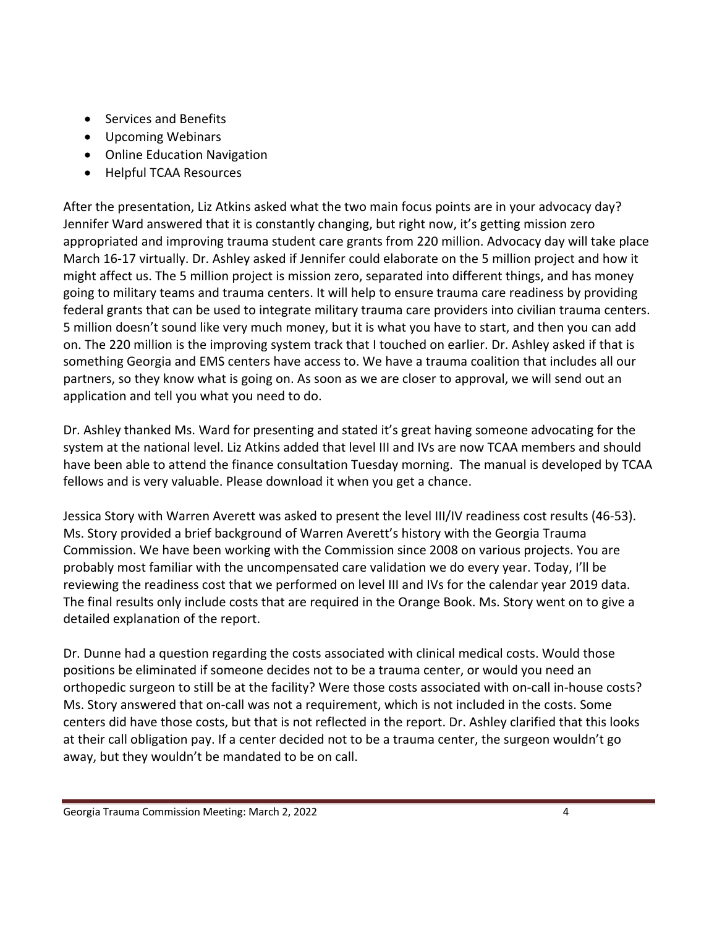- Services and Benefits
- Upcoming Webinars
- Online Education Navigation
- Helpful TCAA Resources

After the presentation, Liz Atkins asked what the two main focus points are in your advocacy day? Jennifer Ward answered that it is constantly changing, but right now, it's getting mission zero appropriated and improving trauma student care grants from 220 million. Advocacy day will take place March 16-17 virtually. Dr. Ashley asked if Jennifer could elaborate on the 5 million project and how it might affect us. The 5 million project is mission zero, separated into different things, and has money going to military teams and trauma centers. It will help to ensure trauma care readiness by providing federal grants that can be used to integrate military trauma care providers into civilian trauma centers. 5 million doesn't sound like very much money, but it is what you have to start, and then you can add on. The 220 million is the improving system track that I touched on earlier. Dr. Ashley asked if that is something Georgia and EMS centers have access to. We have a trauma coalition that includes all our partners, so they know what is going on. As soon as we are closer to approval, we will send out an application and tell you what you need to do.

Dr. Ashley thanked Ms. Ward for presenting and stated it's great having someone advocating for the system at the national level. Liz Atkins added that level III and IVs are now TCAA members and should have been able to attend the finance consultation Tuesday morning. The manual is developed by TCAA fellows and is very valuable. Please download it when you get a chance.

Jessica Story with Warren Averett was asked to present the level III/IV readiness cost results (46-53). Ms. Story provided a brief background of Warren Averett's history with the Georgia Trauma Commission. We have been working with the Commission since 2008 on various projects. You are probably most familiar with the uncompensated care validation we do every year. Today, I'll be reviewing the readiness cost that we performed on level III and IVs for the calendar year 2019 data. The final results only include costs that are required in the Orange Book. Ms. Story went on to give a detailed explanation of the report.

Dr. Dunne had a question regarding the costs associated with clinical medical costs. Would those positions be eliminated if someone decides not to be a trauma center, or would you need an orthopedic surgeon to still be at the facility? Were those costs associated with on-call in-house costs? Ms. Story answered that on-call was not a requirement, which is not included in the costs. Some centers did have those costs, but that is not reflected in the report. Dr. Ashley clarified that this looks at their call obligation pay. If a center decided not to be a trauma center, the surgeon wouldn't go away, but they wouldn't be mandated to be on call.

### Georgia Trauma Commission Meeting: March 2, 2022 4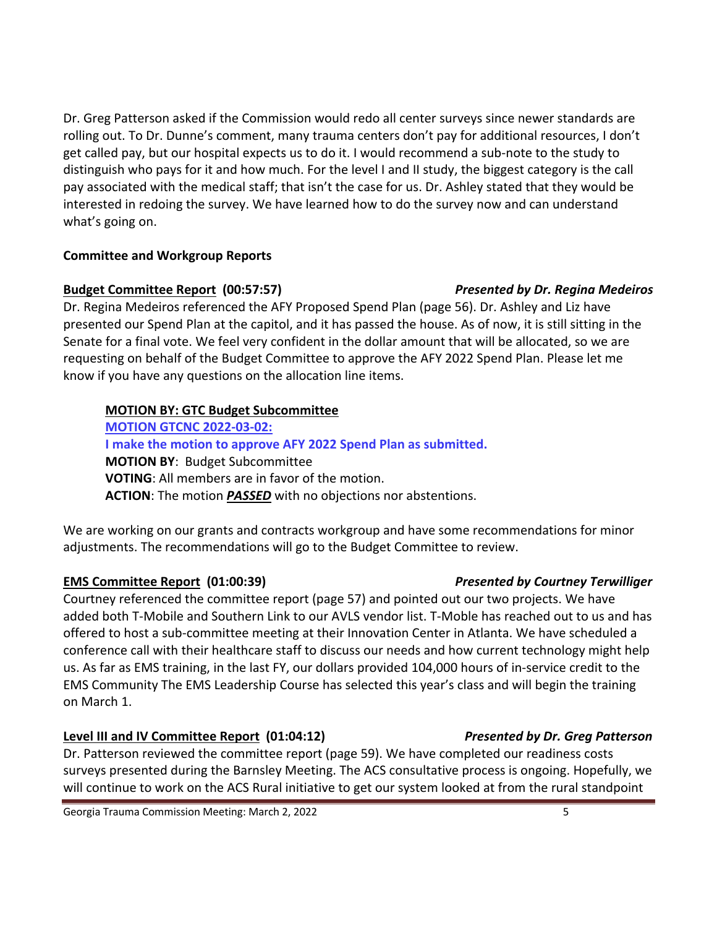Dr. Greg Patterson asked if the Commission would redo all center surveys since newer standards are rolling out. To Dr. Dunne's comment, many trauma centers don't pay for additional resources, I don't get called pay, but our hospital expects us to do it. I would recommend a sub-note to the study to distinguish who pays for it and how much. For the level I and II study, the biggest category is the call pay associated with the medical staff; that isn't the case for us. Dr. Ashley stated that they would be interested in redoing the survey. We have learned how to do the survey now and can understand what's going on.

### **Committee and Workgroup Reports**

### **Budget Committee Report (00:57:57)** *Presented by Dr. Regina Medeiros*

Dr. Regina Medeiros referenced the AFY Proposed Spend Plan (page 56). Dr. Ashley and Liz have presented our Spend Plan at the capitol, and it has passed the house. As of now, it is still sitting in the Senate for a final vote. We feel very confident in the dollar amount that will be allocated, so we are requesting on behalf of the Budget Committee to approve the AFY 2022 Spend Plan. Please let me know if you have any questions on the allocation line items.

# **MOTION BY: GTC Budget Subcommittee**

**MOTION GTCNC 2022-03-02: I make the motion to approve AFY 2022 Spend Plan as submitted. MOTION BY**: Budget Subcommittee **VOTING**: All members are in favor of the motion. **ACTION**: The motion *PASSED* with no objections nor abstentions.

We are working on our grants and contracts workgroup and have some recommendations for minor adjustments. The recommendations will go to the Budget Committee to review.

# **EMS Committee Report (01:00:39)** *Presented by Courtney Terwilliger*

Courtney referenced the committee report (page 57) and pointed out our two projects. We have added both T-Mobile and Southern Link to our AVLS vendor list. T-Moble has reached out to us and has offered to host a sub-committee meeting at their Innovation Center in Atlanta. We have scheduled a conference call with their healthcare staff to discuss our needs and how current technology might help us. As far as EMS training, in the last FY, our dollars provided 104,000 hours of in-service credit to the EMS Community The EMS Leadership Course has selected this year's class and will begin the training on March 1.

# **Level III and IV Committee Report (01:04:12)** *Presented by Dr. Greg Patterson*

Dr. Patterson reviewed the committee report (page 59). We have completed our readiness costs surveys presented during the Barnsley Meeting. The ACS consultative process is ongoing. Hopefully, we will continue to work on the ACS Rural initiative to get our system looked at from the rural standpoint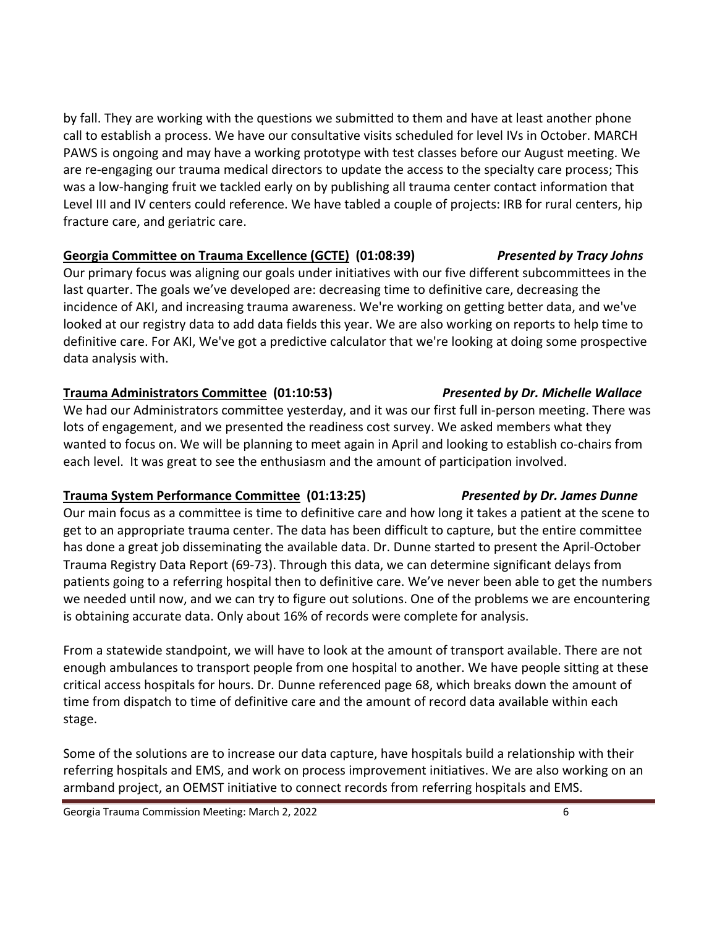by fall. They are working with the questions we submitted to them and have at least another phone call to establish a process. We have our consultative visits scheduled for level IVs in October. MARCH PAWS is ongoing and may have a working prototype with test classes before our August meeting. We are re-engaging our trauma medical directors to update the access to the specialty care process; This was a low-hanging fruit we tackled early on by publishing all trauma center contact information that Level III and IV centers could reference. We have tabled a couple of projects: IRB for rural centers, hip fracture care, and geriatric care.

### **Georgia Committee on Trauma Excellence (GCTE) (01:08:39)** *Presented by Tracy Johns*

Our primary focus was aligning our goals under initiatives with our five different subcommittees in the last quarter. The goals we've developed are: decreasing time to definitive care, decreasing the incidence of AKI, and increasing trauma awareness. We're working on getting better data, and we've looked at our registry data to add data fields this year. We are also working on reports to help time to definitive care. For AKI, We've got a predictive calculator that we're looking at doing some prospective data analysis with.

# **Trauma Administrators Committee (01:10:53)** *Presented by Dr. Michelle Wallace*

We had our Administrators committee yesterday, and it was our first full in-person meeting. There was lots of engagement, and we presented the readiness cost survey. We asked members what they wanted to focus on. We will be planning to meet again in April and looking to establish co-chairs from each level. It was great to see the enthusiasm and the amount of participation involved.

# **Trauma System Performance Committee (01:13:25)** *Presented by Dr. James Dunne*

Our main focus as a committee is time to definitive care and how long it takes a patient at the scene to get to an appropriate trauma center. The data has been difficult to capture, but the entire committee has done a great job disseminating the available data. Dr. Dunne started to present the April-October Trauma Registry Data Report (69-73). Through this data, we can determine significant delays from patients going to a referring hospital then to definitive care. We've never been able to get the numbers we needed until now, and we can try to figure out solutions. One of the problems we are encountering is obtaining accurate data. Only about 16% of records were complete for analysis.

From a statewide standpoint, we will have to look at the amount of transport available. There are not enough ambulances to transport people from one hospital to another. We have people sitting at these critical access hospitals for hours. Dr. Dunne referenced page 68, which breaks down the amount of time from dispatch to time of definitive care and the amount of record data available within each stage.

Some of the solutions are to increase our data capture, have hospitals build a relationship with their referring hospitals and EMS, and work on process improvement initiatives. We are also working on an armband project, an OEMST initiative to connect records from referring hospitals and EMS.

Georgia Trauma Commission Meeting: March 2, 2022 **6** 6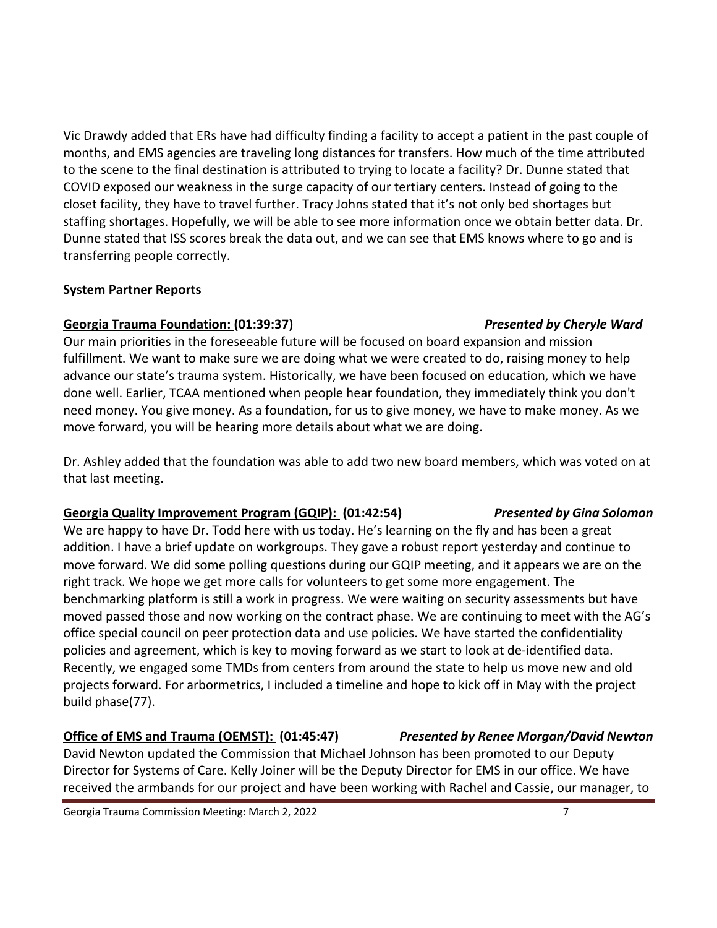Vic Drawdy added that ERs have had difficulty finding a facility to accept a patient in the past couple of months, and EMS agencies are traveling long distances for transfers. How much of the time attributed to the scene to the final destination is attributed to trying to locate a facility? Dr. Dunne stated that COVID exposed our weakness in the surge capacity of our tertiary centers. Instead of going to the closet facility, they have to travel further. Tracy Johns stated that it's not only bed shortages but staffing shortages. Hopefully, we will be able to see more information once we obtain better data. Dr. Dunne stated that ISS scores break the data out, and we can see that EMS knows where to go and is transferring people correctly.

### **System Partner Reports**

### **Georgia Trauma Foundation: (01:39:37)** *Presented by Cheryle Ward*

Our main priorities in the foreseeable future will be focused on board expansion and mission fulfillment. We want to make sure we are doing what we were created to do, raising money to help advance our state's trauma system. Historically, we have been focused on education, which we have done well. Earlier, TCAA mentioned when people hear foundation, they immediately think you don't need money. You give money. As a foundation, for us to give money, we have to make money. As we move forward, you will be hearing more details about what we are doing.

Dr. Ashley added that the foundation was able to add two new board members, which was voted on at that last meeting.

# **Georgia Quality Improvement Program (GQIP): (01:42:54)** *Presented by Gina Solomon*

We are happy to have Dr. Todd here with us today. He's learning on the fly and has been a great addition. I have a brief update on workgroups. They gave a robust report yesterday and continue to move forward. We did some polling questions during our GQIP meeting, and it appears we are on the right track. We hope we get more calls for volunteers to get some more engagement. The benchmarking platform is still a work in progress. We were waiting on security assessments but have moved passed those and now working on the contract phase. We are continuing to meet with the AG's office special council on peer protection data and use policies. We have started the confidentiality policies and agreement, which is key to moving forward as we start to look at de-identified data. Recently, we engaged some TMDs from centers from around the state to help us move new and old projects forward. For arbormetrics, I included a timeline and hope to kick off in May with the project build phase(77).

# **Office of EMS and Trauma (OEMST): (01:45:47)** *Presented by Renee Morgan/David Newton*

David Newton updated the Commission that Michael Johnson has been promoted to our Deputy Director for Systems of Care. Kelly Joiner will be the Deputy Director for EMS in our office. We have received the armbands for our project and have been working with Rachel and Cassie, our manager, to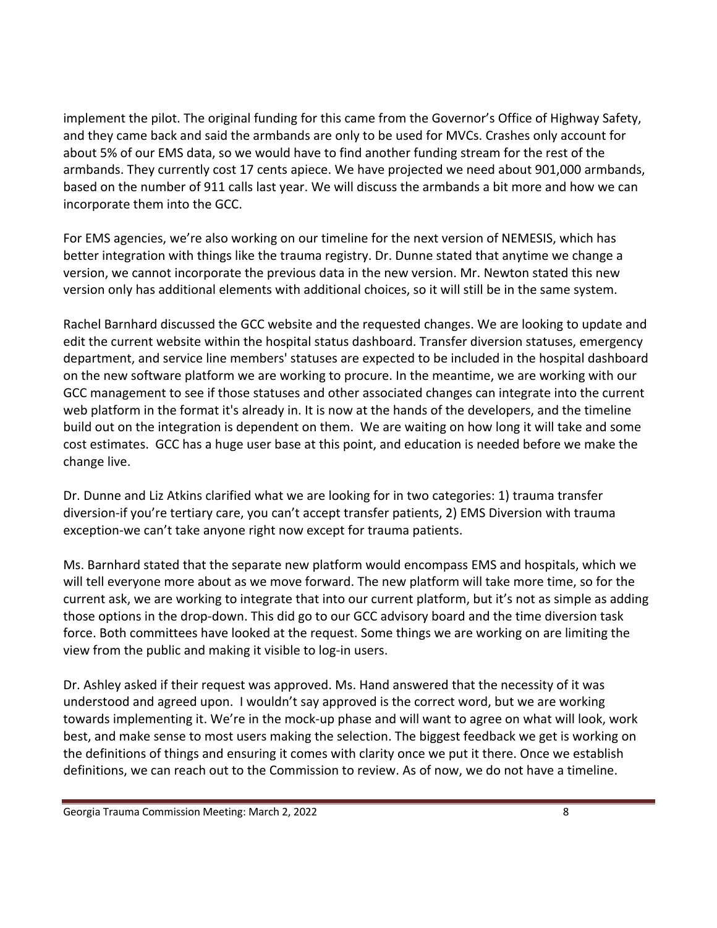implement the pilot. The original funding for this came from the Governor's Office of Highway Safety, and they came back and said the armbands are only to be used for MVCs. Crashes only account for about 5% of our EMS data, so we would have to find another funding stream for the rest of the armbands. They currently cost 17 cents apiece. We have projected we need about 901,000 armbands, based on the number of 911 calls last year. We will discuss the armbands a bit more and how we can incorporate them into the GCC.

For EMS agencies, we're also working on our timeline for the next version of NEMESIS, which has better integration with things like the trauma registry. Dr. Dunne stated that anytime we change a version, we cannot incorporate the previous data in the new version. Mr. Newton stated this new version only has additional elements with additional choices, so it will still be in the same system.

Rachel Barnhard discussed the GCC website and the requested changes. We are looking to update and edit the current website within the hospital status dashboard. Transfer diversion statuses, emergency department, and service line members' statuses are expected to be included in the hospital dashboard on the new software platform we are working to procure. In the meantime, we are working with our GCC management to see if those statuses and other associated changes can integrate into the current web platform in the format it's already in. It is now at the hands of the developers, and the timeline build out on the integration is dependent on them. We are waiting on how long it will take and some cost estimates. GCC has a huge user base at this point, and education is needed before we make the change live.

Dr. Dunne and Liz Atkins clarified what we are looking for in two categories: 1) trauma transfer diversion-if you're tertiary care, you can't accept transfer patients, 2) EMS Diversion with trauma exception-we can't take anyone right now except for trauma patients.

Ms. Barnhard stated that the separate new platform would encompass EMS and hospitals, which we will tell everyone more about as we move forward. The new platform will take more time, so for the current ask, we are working to integrate that into our current platform, but it's not as simple as adding those options in the drop-down. This did go to our GCC advisory board and the time diversion task force. Both committees have looked at the request. Some things we are working on are limiting the view from the public and making it visible to log-in users.

Dr. Ashley asked if their request was approved. Ms. Hand answered that the necessity of it was understood and agreed upon. I wouldn't say approved is the correct word, but we are working towards implementing it. We're in the mock-up phase and will want to agree on what will look, work best, and make sense to most users making the selection. The biggest feedback we get is working on the definitions of things and ensuring it comes with clarity once we put it there. Once we establish definitions, we can reach out to the Commission to review. As of now, we do not have a timeline.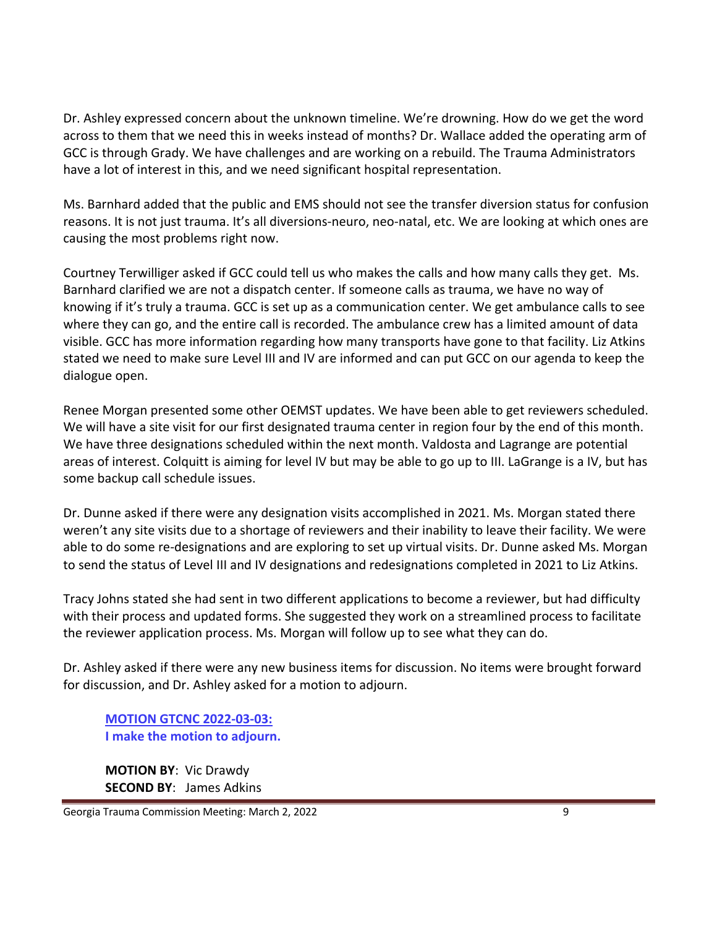Dr. Ashley expressed concern about the unknown timeline. We're drowning. How do we get the word across to them that we need this in weeks instead of months? Dr. Wallace added the operating arm of GCC is through Grady. We have challenges and are working on a rebuild. The Trauma Administrators have a lot of interest in this, and we need significant hospital representation.

Ms. Barnhard added that the public and EMS should not see the transfer diversion status for confusion reasons. It is not just trauma. It's all diversions-neuro, neo-natal, etc. We are looking at which ones are causing the most problems right now.

Courtney Terwilliger asked if GCC could tell us who makes the calls and how many calls they get. Ms. Barnhard clarified we are not a dispatch center. If someone calls as trauma, we have no way of knowing if it's truly a trauma. GCC is set up as a communication center. We get ambulance calls to see where they can go, and the entire call is recorded. The ambulance crew has a limited amount of data visible. GCC has more information regarding how many transports have gone to that facility. Liz Atkins stated we need to make sure Level III and IV are informed and can put GCC on our agenda to keep the dialogue open.

Renee Morgan presented some other OEMST updates. We have been able to get reviewers scheduled. We will have a site visit for our first designated trauma center in region four by the end of this month. We have three designations scheduled within the next month. Valdosta and Lagrange are potential areas of interest. Colquitt is aiming for level IV but may be able to go up to III. LaGrange is a IV, but has some backup call schedule issues.

Dr. Dunne asked if there were any designation visits accomplished in 2021. Ms. Morgan stated there weren't any site visits due to a shortage of reviewers and their inability to leave their facility. We were able to do some re-designations and are exploring to set up virtual visits. Dr. Dunne asked Ms. Morgan to send the status of Level III and IV designations and redesignations completed in 2021 to Liz Atkins.

Tracy Johns stated she had sent in two different applications to become a reviewer, but had difficulty with their process and updated forms. She suggested they work on a streamlined process to facilitate the reviewer application process. Ms. Morgan will follow up to see what they can do.

Dr. Ashley asked if there were any new business items for discussion. No items were brought forward for discussion, and Dr. Ashley asked for a motion to adjourn.

**MOTION GTCNC 2022-03-03: I make the motion to adjourn.**

**MOTION BY**: Vic Drawdy **SECOND BY**: James Adkins

Georgia Trauma Commission Meeting: March 2, 2022 **9 12:33 12:34 12:35 12:36 12:36 13:36 13:36 13:36 13:36 13:36 13:36 13:36 13:36 13:36 13:36 13:36 13:36 13:36 13:36 13:36 13:36 13:36 13:36 13:36 13:36 13:36 13:36 13:36 13**